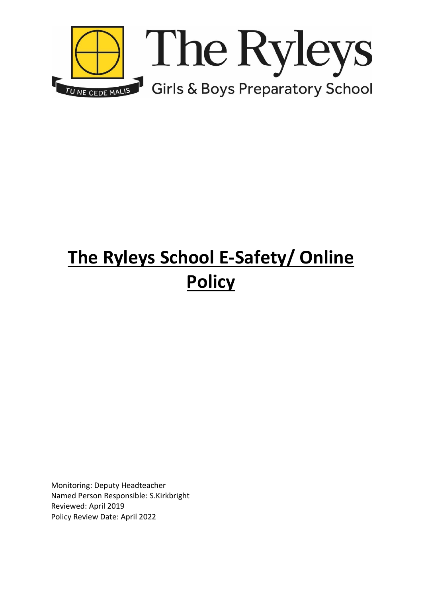

# **The Ryleys School E-Safety/ Online Policy**

Monitoring: Deputy Headteacher Named Person Responsible: S.Kirkbright Reviewed: April 2019 Policy Review Date: April 2022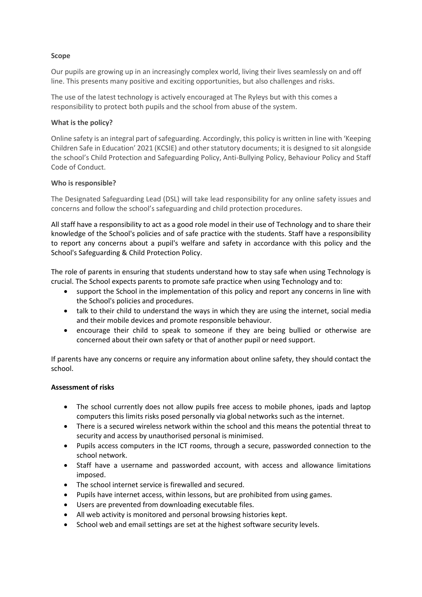# **Scope**

Our pupils are growing up in an increasingly complex world, living their lives seamlessly on and off line. This presents many positive and exciting opportunities, but also challenges and risks.

The use of the latest technology is actively encouraged at The Ryleys but with this comes a responsibility to protect both pupils and the school from abuse of the system.

## **What is the policy?**

Online safety is an integral part of safeguarding. Accordingly, this policy is written in line with 'Keeping Children Safe in Education' 2021 (KCSIE) and other statutory documents; it is designed to sit alongside the school's Child Protection and Safeguarding Policy, Anti-Bullying Policy, Behaviour Policy and Staff Code of Conduct.

# **Who is responsible?**

The Designated Safeguarding Lead (DSL) will take lead responsibility for any online safety issues and concerns and follow the school's safeguarding and child protection procedures.

All staff have a responsibility to act as a good role model in their use of Technology and to share their knowledge of the School's policies and of safe practice with the students. Staff have a responsibility to report any concerns about a pupil's welfare and safety in accordance with this policy and the School's Safeguarding & Child Protection Policy.

The role of parents in ensuring that students understand how to stay safe when using Technology is crucial. The School expects parents to promote safe practice when using Technology and to:

- support the School in the implementation of this policy and report any concerns in line with the School's policies and procedures.
- talk to their child to understand the ways in which they are using the internet, social media and their mobile devices and promote responsible behaviour.
- encourage their child to speak to someone if they are being bullied or otherwise are concerned about their own safety or that of another pupil or need support.

If parents have any concerns or require any information about online safety, they should contact the school.

## **Assessment of risks**

- The school currently does not allow pupils free access to mobile phones, ipads and laptop computers this limits risks posed personally via global networks such as the internet.
- There is a secured wireless network within the school and this means the potential threat to security and access by unauthorised personal is minimised.
- Pupils access computers in the ICT rooms, through a secure, passworded connection to the school network.
- Staff have a username and passworded account, with access and allowance limitations imposed.
- The school internet service is firewalled and secured.
- Pupils have internet access, within lessons, but are prohibited from using games.
- Users are prevented from downloading executable files.
- All web activity is monitored and personal browsing histories kept.
- School web and email settings are set at the highest software security levels.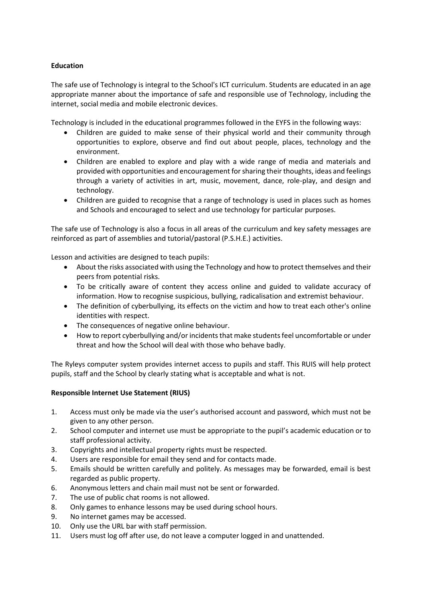# **Education**

The safe use of Technology is integral to the School's ICT curriculum. Students are educated in an age appropriate manner about the importance of safe and responsible use of Technology, including the internet, social media and mobile electronic devices.

Technology is included in the educational programmes followed in the EYFS in the following ways:

- Children are guided to make sense of their physical world and their community through opportunities to explore, observe and find out about people, places, technology and the environment.
- Children are enabled to explore and play with a wide range of media and materials and provided with opportunities and encouragement for sharing their thoughts, ideas and feelings through a variety of activities in art, music, movement, dance, role-play, and design and technology.
- Children are guided to recognise that a range of technology is used in places such as homes and Schools and encouraged to select and use technology for particular purposes.

The safe use of Technology is also a focus in all areas of the curriculum and key safety messages are reinforced as part of assemblies and tutorial/pastoral (P.S.H.E.) activities.

Lesson and activities are designed to teach pupils:

- About the risks associated with using the Technology and how to protect themselves and their peers from potential risks.
- To be critically aware of content they access online and guided to validate accuracy of information. How to recognise suspicious, bullying, radicalisation and extremist behaviour.
- The definition of cyberbullying, its effects on the victim and how to treat each other's online identities with respect.
- The consequences of negative online behaviour.
- How to report cyberbullying and/or incidents that make students feel uncomfortable or under threat and how the School will deal with those who behave badly.

The Ryleys computer system provides internet access to pupils and staff. This RUIS will help protect pupils, staff and the School by clearly stating what is acceptable and what is not.

## **Responsible Internet Use Statement (RIUS)**

- 1. Access must only be made via the user's authorised account and password, which must not be given to any other person.
- 2. School computer and internet use must be appropriate to the pupil's academic education or to staff professional activity.
- 3. Copyrights and intellectual property rights must be respected.
- 4. Users are responsible for email they send and for contacts made.
- 5. Emails should be written carefully and politely. As messages may be forwarded, email is best regarded as public property.
- 6. Anonymous letters and chain mail must not be sent or forwarded.
- 7. The use of public chat rooms is not allowed.
- 8. Only games to enhance lessons may be used during school hours.
- 9. No internet games may be accessed.
- 10. Only use the URL bar with staff permission.
- 11. Users must log off after use, do not leave a computer logged in and unattended.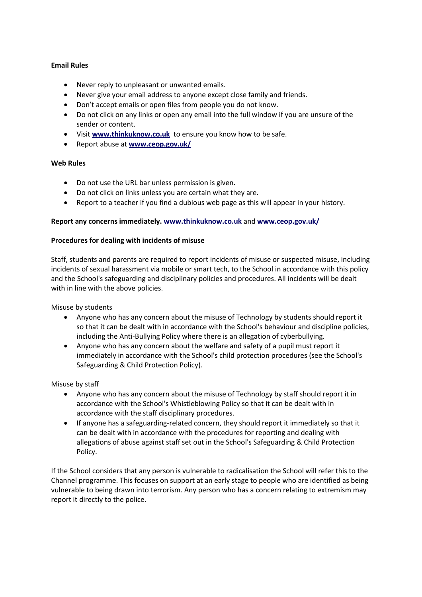# **Email Rules**

- Never reply to unpleasant or unwanted emails.
- Never give your email address to anyone except close family and friends.
- Don't accept emails or open files from people you do not know.
- Do not click on any links or open any email into the full window if you are unsure of the sender or content.
- Visit **[www.thinkuknow.co.uk](http://www.thinkuknow.co.uk/)** to ensure you know how to be safe.
- Report abuse at **[www.ceop.gov.uk/](http://www.ceop.gov.uk/)**

## **Web Rules**

- Do not use the URL bar unless permission is given.
- Do not click on links unless you are certain what they are.
- Report to a teacher if you find a dubious web page as this will appear in your history.

## **Report any concerns immediately. [www.thinkuknow.co.uk](http://www.thinkuknow.co.uk/)** and **[www.ceop.gov.uk/](http://www.ceop.gov.uk/)**

## **Procedures for dealing with incidents of misuse**

Staff, students and parents are required to report incidents of misuse or suspected misuse, including incidents of sexual harassment via mobile or smart tech, to the School in accordance with this policy and the School's safeguarding and disciplinary policies and procedures. All incidents will be dealt with in line with the above policies.

Misuse by students

- Anyone who has any concern about the misuse of Technology by students should report it so that it can be dealt with in accordance with the School's behaviour and discipline policies, including the Anti-Bullying Policy where there is an allegation of cyberbullying.
- Anyone who has any concern about the welfare and safety of a pupil must report it immediately in accordance with the School's child protection procedures (see the School's Safeguarding & Child Protection Policy).

## Misuse by staff

- Anyone who has any concern about the misuse of Technology by staff should report it in accordance with the School's Whistleblowing Policy so that it can be dealt with in accordance with the staff disciplinary procedures.
- If anyone has a safeguarding-related concern, they should report it immediately so that it can be dealt with in accordance with the procedures for reporting and dealing with allegations of abuse against staff set out in the School's Safeguarding & Child Protection Policy.

If the School considers that any person is vulnerable to radicalisation the School will refer this to the Channel programme. This focuses on support at an early stage to people who are identified as being vulnerable to being drawn into terrorism. Any person who has a concern relating to extremism may report it directly to the police.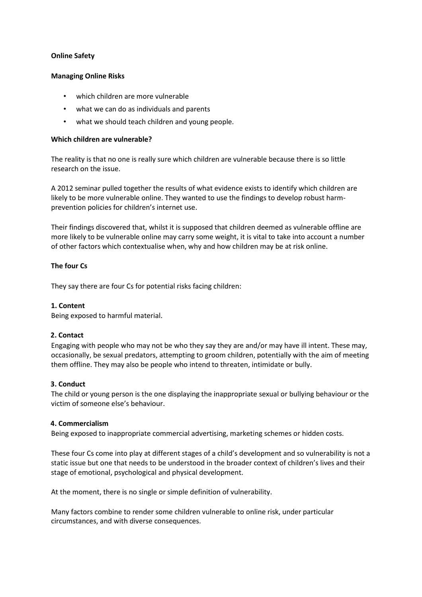# **Online Safety**

## **Managing Online Risks**

- which children are more vulnerable
- what we can do as individuals and parents
- what we should teach children and young people.

## **Which children are vulnerable?**

The reality is that no one is really sure which children are vulnerable because there is so little research on the issue.

A 2012 seminar pulled together the results of what evidence exists to identify which children are likely to be more vulnerable online. They wanted to use the findings to develop robust harmprevention policies for children's internet use.

Their findings discovered that, whilst it is supposed that children deemed as vulnerable offline are more likely to be vulnerable online may carry some weight, it is vital to take into account a number of other factors which contextualise when, why and how children may be at risk online.

## **The four Cs**

They say there are four Cs for potential risks facing children:

## **1. Content**

Being exposed to harmful material.

## **2. Contact**

Engaging with people who may not be who they say they are and/or may have ill intent. These may, occasionally, be sexual predators, attempting to groom children, potentially with the aim of meeting them offline. They may also be people who intend to threaten, intimidate or bully.

## **3. Conduct**

The child or young person is the one displaying the inappropriate sexual or bullying behaviour or the victim of someone else's behaviour.

## **4. Commercialism**

Being exposed to inappropriate commercial advertising, marketing schemes or hidden costs.

These four Cs come into play at different stages of a child's development and so vulnerability is not a static issue but one that needs to be understood in the broader context of children's lives and their stage of emotional, psychological and physical development.

At the moment, there is no single or simple definition of vulnerability.

Many factors combine to render some children vulnerable to online risk, under particular circumstances, and with diverse consequences.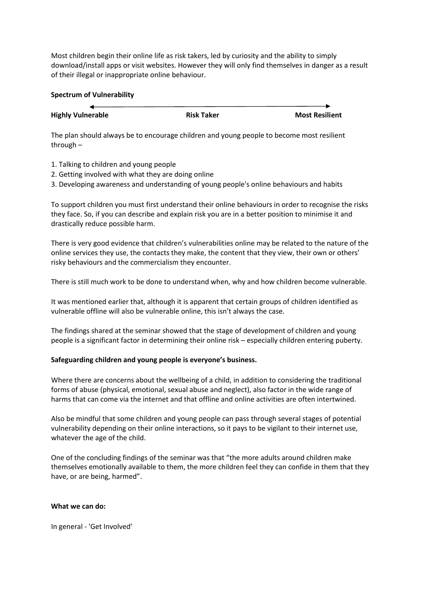Most children begin their online life as risk takers, led by curiosity and the ability to simply download/install apps or visit websites. However they will only find themselves in danger as a result of their illegal or inappropriate online behaviour.

#### **Spectrum of Vulnerability**

| <b>Highly Vulnerable</b> | <b>Risk Taker</b> | <b>Most Resilient</b> |
|--------------------------|-------------------|-----------------------|

The plan should always be to encourage children and young people to become most resilient through –

- 1. Talking to children and young people
- 2. Getting involved with what they are doing online
- 3. Developing awareness and understanding of young people's online behaviours and habits

To support children you must first understand their online behaviours in order to recognise the risks they face. So, if you can describe and explain risk you are in a better position to minimise it and drastically reduce possible harm.

There is very good evidence that children's vulnerabilities online may be related to the nature of the online services they use, the contacts they make, the content that they view, their own or others' risky behaviours and the commercialism they encounter.

There is still much work to be done to understand when, why and how children become vulnerable.

It was mentioned earlier that, although it is apparent that certain groups of children identified as vulnerable offline will also be vulnerable online, this isn't always the case.

The findings shared at the seminar showed that the stage of development of children and young people is a significant factor in determining their online risk – especially children entering puberty.

## **Safeguarding children and young people is everyone's business.**

Where there are concerns about the wellbeing of a child, in addition to considering the traditional forms of abuse (physical, emotional, sexual abuse and neglect), also factor in the wide range of harms that can come via the internet and that offline and online activities are often intertwined.

Also be mindful that some children and young people can pass through several stages of potential vulnerability depending on their online interactions, so it pays to be vigilant to their internet use, whatever the age of the child.

One of the concluding findings of the seminar was that "the more adults around children make themselves emotionally available to them, the more children feel they can confide in them that they have, or are being, harmed".

## **What we can do:**

In general - 'Get Involved'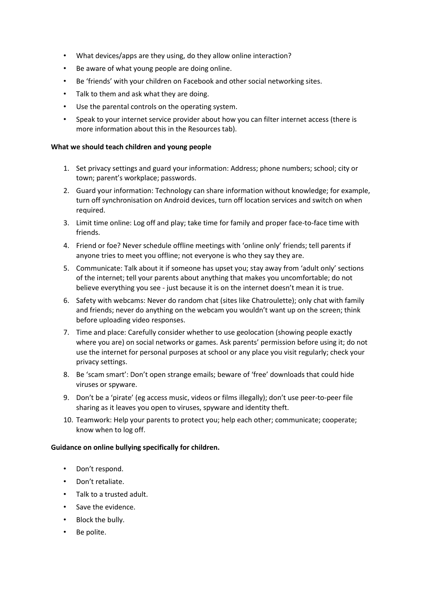- What devices/apps are they using, do they allow online interaction?
- Be aware of what young people are doing online.
- Be 'friends' with your children on Facebook and other social networking sites.
- Talk to them and ask what they are doing.
- Use the parental controls on the operating system.
- Speak to your internet service provider about how you can filter internet access (there is more information about this in the Resources tab).

## **What we should teach children and young people**

- 1. Set privacy settings and guard your information: Address; phone numbers; school; city or town; parent's workplace; passwords.
- 2. Guard your information: Technology can share information without knowledge; for example, turn off synchronisation on Android devices, turn off location services and switch on when required.
- 3. Limit time online: Log off and play; take time for family and proper face-to-face time with friends.
- 4. Friend or foe? Never schedule offline meetings with 'online only' friends; tell parents if anyone tries to meet you offline; not everyone is who they say they are.
- 5. Communicate: Talk about it if someone has upset you; stay away from 'adult only' sections of the internet; tell your parents about anything that makes you uncomfortable; do not believe everything you see - just because it is on the internet doesn't mean it is true.
- 6. Safety with webcams: Never do random chat (sites like Chatroulette); only chat with family and friends; never do anything on the webcam you wouldn't want up on the screen; think before uploading video responses.
- 7. Time and place: Carefully consider whether to use geolocation (showing people exactly where you are) on social networks or games. Ask parents' permission before using it; do not use the internet for personal purposes at school or any place you visit regularly; check your privacy settings.
- 8. Be 'scam smart': Don't open strange emails; beware of 'free' downloads that could hide viruses or spyware.
- 9. Don't be a 'pirate' (eg access music, videos or films illegally); don't use peer-to-peer file sharing as it leaves you open to viruses, spyware and identity theft.
- 10. Teamwork: Help your parents to protect you; help each other; communicate; cooperate; know when to log off.

#### **Guidance on online bullying specifically for children.**

- Don't respond.
- Don't retaliate.
- Talk to a trusted adult.
- Save the evidence.
- Block the bully.
- Be polite.